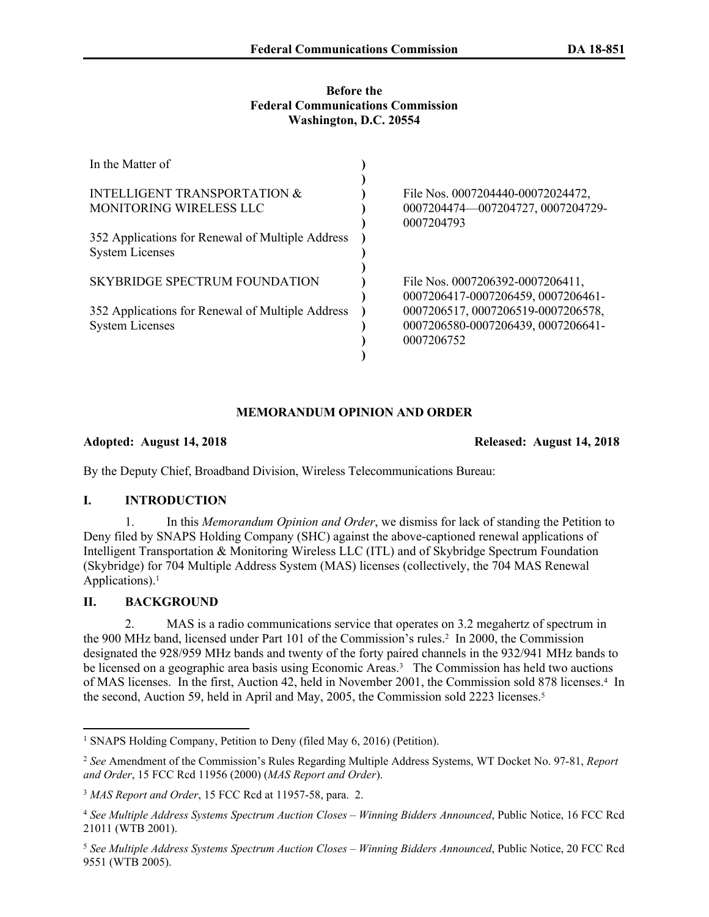### **Before the Federal Communications Commission Washington, D.C. 20554**

| In the Matter of                                 |                                                 |
|--------------------------------------------------|-------------------------------------------------|
|                                                  |                                                 |
| <b>INTELLIGENT TRANSPORTATION &amp;</b>          | File Nos. 0007204440-00072024472.               |
| <b>MONITORING WIRELESS LLC</b>                   | 0007204474-007204727, 0007204729-<br>0007204793 |
|                                                  |                                                 |
| 352 Applications for Renewal of Multiple Address |                                                 |
| <b>System Licenses</b>                           |                                                 |
|                                                  |                                                 |
| SKYBRIDGE SPECTRUM FOUNDATION                    | File Nos. 0007206392-0007206411,                |
|                                                  | 0007206417-0007206459, 0007206461-              |
| 352 Applications for Renewal of Multiple Address | 0007206517, 0007206519-0007206578,              |
| <b>System Licenses</b>                           | 0007206580-0007206439, 0007206641-              |
|                                                  | 0007206752                                      |
|                                                  |                                                 |

## **MEMORANDUM OPINION AND ORDER**

## **Adopted: August 14, 2018 Released: August 14, 2018**

By the Deputy Chief, Broadband Division, Wireless Telecommunications Bureau:

# **I. INTRODUCTION**

1. In this *Memorandum Opinion and Order*, we dismiss for lack of standing the Petition to Deny filed by SNAPS Holding Company (SHC) against the above-captioned renewal applications of Intelligent Transportation & Monitoring Wireless LLC (ITL) and of Skybridge Spectrum Foundation (Skybridge) for 704 Multiple Address System (MAS) licenses (collectively, the 704 MAS Renewal Applications).<sup>1</sup>

# **II. BACKGROUND**

2. MAS is a radio communications service that operates on 3.2 megahertz of spectrum in the 900 MHz band, licensed under Part 101 of the Commission's rules.<sup>2</sup> In 2000, the Commission designated the 928/959 MHz bands and twenty of the forty paired channels in the 932/941 MHz bands to be licensed on a geographic area basis using Economic Areas.<sup>3</sup> The Commission has held two auctions of MAS licenses. In the first, Auction 42, held in November 2001, the Commission sold 878 licenses.<sup>4</sup> In the second, Auction 59, held in April and May, 2005, the Commission sold 2223 licenses.<sup>5</sup>

<sup>1</sup> SNAPS Holding Company, Petition to Deny (filed May 6, 2016) (Petition).

<sup>2</sup> *See* Amendment of the Commission's Rules Regarding Multiple Address Systems, WT Docket No. 97-81, *Report and Order*, 15 FCC Rcd 11956 (2000) (*MAS Report and Order*).

<sup>3</sup> *MAS Report and Order*, 15 FCC Rcd at 11957-58, para. 2.

<sup>4</sup> *See Multiple Address Systems Spectrum Auction Closes – Winning Bidders Announced*, Public Notice, 16 FCC Rcd 21011 (WTB 2001).

<sup>5</sup> *See Multiple Address Systems Spectrum Auction Closes – Winning Bidders Announced*, Public Notice, 20 FCC Rcd 9551 (WTB 2005).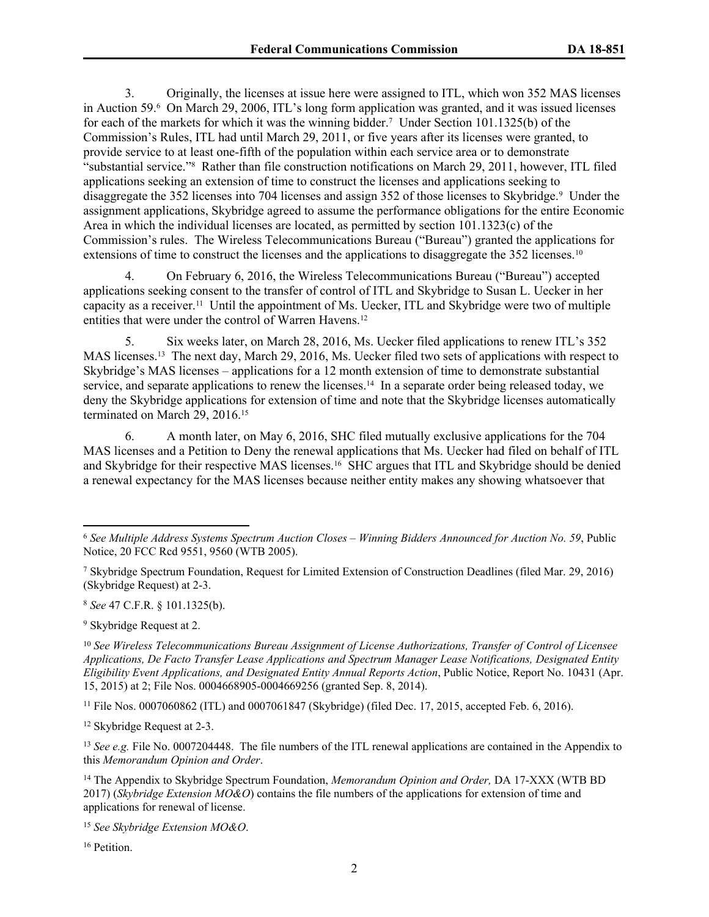3. Originally, the licenses at issue here were assigned to ITL, which won 352 MAS licenses in Auction 59.<sup>6</sup> On March 29, 2006, ITL's long form application was granted, and it was issued licenses for each of the markets for which it was the winning bidder.<sup>7</sup> Under Section 101.1325(b) of the Commission's Rules, ITL had until March 29, 2011, or five years after its licenses were granted, to provide service to at least one-fifth of the population within each service area or to demonstrate "substantial service."<sup>8</sup> Rather than file construction notifications on March 29, 2011, however, ITL filed applications seeking an extension of time to construct the licenses and applications seeking to disaggregate the 352 licenses into 704 licenses and assign 352 of those licenses to Skybridge.<sup>9</sup> Under the assignment applications, Skybridge agreed to assume the performance obligations for the entire Economic Area in which the individual licenses are located, as permitted by section 101.1323(c) of the Commission's rules. The Wireless Telecommunications Bureau ("Bureau") granted the applications for extensions of time to construct the licenses and the applications to disaggregate the 352 licenses.<sup>10</sup>

4. On February 6, 2016, the Wireless Telecommunications Bureau ("Bureau") accepted applications seeking consent to the transfer of control of ITL and Skybridge to Susan L. Uecker in her capacity as a receiver.<sup>11</sup> Until the appointment of Ms. Uecker, ITL and Skybridge were two of multiple entities that were under the control of Warren Havens.<sup>12</sup>

5. Six weeks later, on March 28, 2016, Ms. Uecker filed applications to renew ITL's 352 MAS licenses.<sup>13</sup> The next day, March 29, 2016, Ms. Uecker filed two sets of applications with respect to Skybridge's MAS licenses – applications for a 12 month extension of time to demonstrate substantial service, and separate applications to renew the licenses.<sup>14</sup> In a separate order being released today, we deny the Skybridge applications for extension of time and note that the Skybridge licenses automatically terminated on March 29, 2016.<sup>15</sup>

6. A month later, on May 6, 2016, SHC filed mutually exclusive applications for the 704 MAS licenses and a Petition to Deny the renewal applications that Ms. Uecker had filed on behalf of ITL and Skybridge for their respective MAS licenses.<sup>16</sup> SHC argues that ITL and Skybridge should be denied a renewal expectancy for the MAS licenses because neither entity makes any showing whatsoever that

<sup>8</sup> *See* 47 C.F.R. § 101.1325(b).

<sup>9</sup> Skybridge Request at 2.

<sup>10</sup> *See Wireless Telecommunications Bureau Assignment of License Authorizations, Transfer of Control of Licensee Applications, De Facto Transfer Lease Applications and Spectrum Manager Lease Notifications, Designated Entity Eligibility Event Applications, and Designated Entity Annual Reports Action*, Public Notice, Report No. 10431 (Apr. 15, 2015) at 2; File Nos. 0004668905-0004669256 (granted Sep. 8, 2014).

<sup>11</sup> File Nos. 0007060862 (ITL) and 0007061847 (Skybridge) (filed Dec. 17, 2015, accepted Feb. 6, 2016).

<sup>12</sup> Skybridge Request at 2-3.

<sup>13</sup> *See e.g.* File No. 0007204448. The file numbers of the ITL renewal applications are contained in the Appendix to this *Memorandum Opinion and Order*.

<sup>14</sup> The Appendix to Skybridge Spectrum Foundation, *Memorandum Opinion and Order,* DA 17-XXX (WTB BD 2017) (*Skybridge Extension MO&O*) contains the file numbers of the applications for extension of time and applications for renewal of license.

<sup>15</sup> *See Skybridge Extension MO&O*.

<sup>16</sup> Petition.

<sup>6</sup> *See Multiple Address Systems Spectrum Auction Closes – Winning Bidders Announced for Auction No. 59*, Public Notice, 20 FCC Rcd 9551, 9560 (WTB 2005).

<sup>7</sup> Skybridge Spectrum Foundation, Request for Limited Extension of Construction Deadlines (filed Mar. 29, 2016) (Skybridge Request) at 2-3.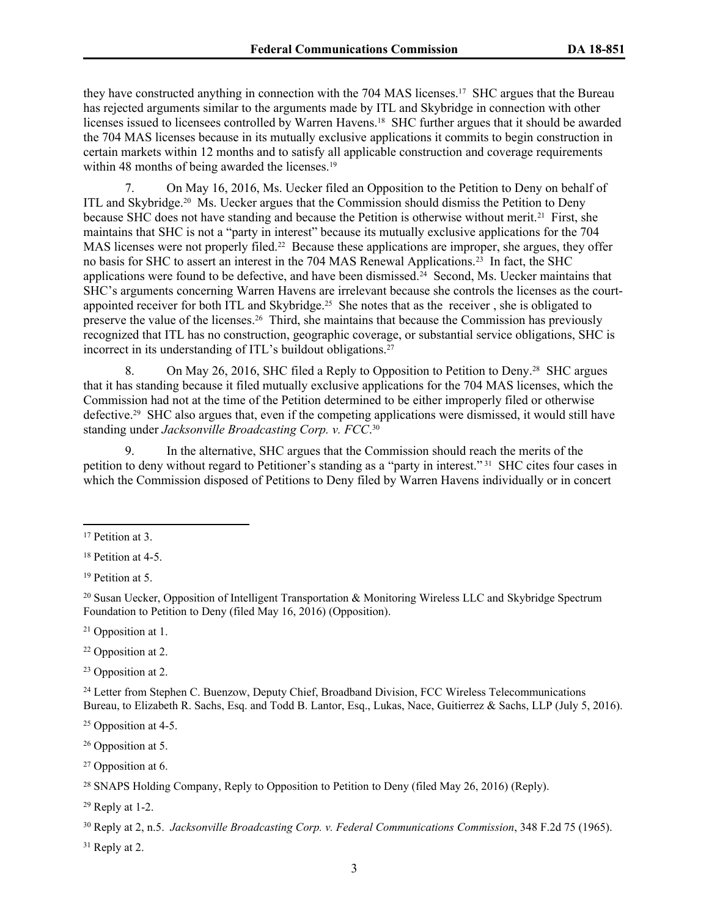they have constructed anything in connection with the 704 MAS licenses.<sup>17</sup> SHC argues that the Bureau has rejected arguments similar to the arguments made by ITL and Skybridge in connection with other licenses issued to licensees controlled by Warren Havens.<sup>18</sup> SHC further argues that it should be awarded the 704 MAS licenses because in its mutually exclusive applications it commits to begin construction in certain markets within 12 months and to satisfy all applicable construction and coverage requirements within 48 months of being awarded the licenses.<sup>19</sup>

7. On May 16, 2016, Ms. Uecker filed an Opposition to the Petition to Deny on behalf of ITL and Skybridge.<sup>20</sup> Ms. Uecker argues that the Commission should dismiss the Petition to Deny because SHC does not have standing and because the Petition is otherwise without merit.<sup>21</sup> First, she maintains that SHC is not a "party in interest" because its mutually exclusive applications for the 704 MAS licenses were not properly filed.<sup>22</sup> Because these applications are improper, she argues, they offer no basis for SHC to assert an interest in the 704 MAS Renewal Applications.<sup>23</sup> In fact, the SHC applications were found to be defective, and have been dismissed.<sup>24</sup> Second, Ms. Uecker maintains that SHC's arguments concerning Warren Havens are irrelevant because she controls the licenses as the courtappointed receiver for both ITL and Skybridge.<sup>25</sup> She notes that as the receiver, she is obligated to preserve the value of the licenses.<sup>26</sup> Third, she maintains that because the Commission has previously recognized that ITL has no construction, geographic coverage, or substantial service obligations, SHC is incorrect in its understanding of ITL's buildout obligations.<sup>27</sup>

8. On May 26, 2016, SHC filed a Reply to Opposition to Petition to Deny.<sup>28</sup> SHC argues that it has standing because it filed mutually exclusive applications for the 704 MAS licenses, which the Commission had not at the time of the Petition determined to be either improperly filed or otherwise defective.<sup>29</sup> SHC also argues that, even if the competing applications were dismissed, it would still have standing under *Jacksonville Broadcasting Corp. v. FCC*. 30

9. In the alternative, SHC argues that the Commission should reach the merits of the petition to deny without regard to Petitioner's standing as a "party in interest."<sup>31</sup> SHC cites four cases in which the Commission disposed of Petitions to Deny filed by Warren Havens individually or in concert

- <sup>22</sup> Opposition at 2.
- <sup>23</sup> Opposition at 2.

<sup>24</sup> Letter from Stephen C. Buenzow, Deputy Chief, Broadband Division, FCC Wireless Telecommunications Bureau, to Elizabeth R. Sachs, Esq. and Todd B. Lantor, Esq., Lukas, Nace, Guitierrez & Sachs, LLP (July 5, 2016).

<sup>26</sup> Opposition at 5.

<sup>27</sup> Opposition at 6.

 $31$  Reply at 2.

<sup>&</sup>lt;sup>17</sup> Petition at 3.

<sup>&</sup>lt;sup>18</sup> Petition at 4-5.

<sup>&</sup>lt;sup>19</sup> Petition at 5.

<sup>20</sup> Susan Uecker, Opposition of Intelligent Transportation & Monitoring Wireless LLC and Skybridge Spectrum Foundation to Petition to Deny (filed May 16, 2016) (Opposition).

<sup>21</sup> Opposition at 1.

<sup>25</sup> Opposition at 4-5.

<sup>28</sup> SNAPS Holding Company, Reply to Opposition to Petition to Deny (filed May 26, 2016) (Reply).

 $29$  Reply at 1-2.

<sup>30</sup> Reply at 2, n.5. *Jacksonville Broadcasting Corp. v. Federal Communications Commission*, 348 F.2d 75 (1965).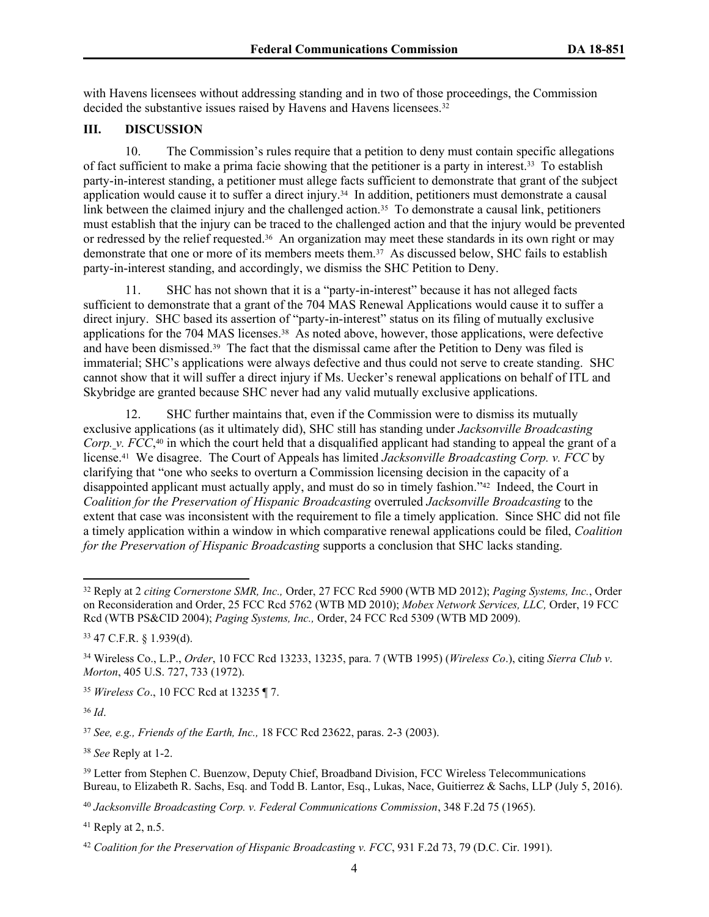<span id="page-3-0"></span>with Havens licensees without addressing standing and in two of those proceedings, the Commission decided the substantive issues raised by Havens and Havens licensees.<sup>32</sup>

## **III. DISCUSSION**

10. The Commission's rules require that a petition to deny must contain specific allegations of fact sufficient to make a prima facie showing that the petitioner is a party in interest.<sup>33</sup> To establish party-in-interest standing, a petitioner must allege facts sufficient to demonstrate that grant of the subject application would cause it to suffer a direct injury.<sup>34</sup> In addition, petitioners must demonstrate a causal link between the claimed injury and the challenged action.<sup>35</sup> To demonstrate a causal link, petitioners must establish that the injury can be traced to the challenged action and that the injury would be prevented or redressed by the relief requested.<sup>36</sup> An organization may meet these standards in its own right or may demonstrate that one or more of its members meets them.<sup>37</sup> As discussed below, SHC fails to establish party-in-interest standing, and accordingly, we dismiss the SHC Petition to Deny.

11. SHC has not shown that it is a "party-in-interest" because it has not alleged facts sufficient to demonstrate that a grant of the 704 MAS Renewal Applications would cause it to suffer a direct injury. SHC based its assertion of "party-in-interest" status on its filing of mutually exclusive applications for the 704 MAS licenses.<sup>38</sup> As noted above, however, those applications, were defective and have been dismissed.<sup>39</sup> The fact that the dismissal came after the Petition to Deny was filed is immaterial; SHC's applications were always defective and thus could not serve to create standing. SHC cannot show that it will suffer a direct injury if Ms. Uecker's renewal applications on behalf of ITL and Skybridge are granted because SHC never had any valid mutually exclusive applications.

12. SHC further maintains that, even if the Commission were to dismiss its mutually exclusive applications (as it ultimately did), SHC still has standing under *Jacksonville Broadcasting Corp. v. FCC*, <sup>40</sup> in which the court held that a disqualified applicant had standing to appeal the grant of a license.<sup>41</sup> We disagree. The Court of Appeals has limited *Jacksonville Broadcasting Corp. v. FCC* by clarifying that "one who seeks to overturn a Commission licensing decision in the capacity of a disappointed applicant must actually apply, and must do so in timely fashion."<sup>42</sup> Indeed, the Court in *Coalition for the Preservation of Hispanic Broadcasting* overruled *Jacksonville Broadcasting* to the extent that case was inconsistent with the requirement to file a timely application. Since SHC did not file a timely application within a window in which comparative renewal applications could be filed, *Coalition for the Preservation of Hispanic Broadcasting* supports a conclusion that SHC lacks standing.

<sup>35</sup> *Wireless Co*., 10 FCC Rcd at 13235 ¶ 7.

<sup>36</sup> *Id*.

<sup>37</sup> *See, e.g., Friends of the Earth, Inc.,* 18 FCC Rcd 23622, paras. 2-3 (2003).

<sup>38</sup> *See* Reply at 1-2.

 $41$  Reply at 2, n.5.

<sup>32</sup> Reply at 2 *citing Cornerstone SMR, Inc.,* Order, 27 FCC Rcd 5900 (WTB MD 2012); *Paging Systems, Inc.*, Order on Reconsideration and Order, 25 FCC Rcd 5762 (WTB MD 2010); *Mobex Network Services, LLC,* Order, 19 FCC Rcd (WTB PS&CID 2004); *Paging Systems, Inc.,* Order, 24 FCC Rcd 5309 (WTB MD 2009).

<sup>33</sup> 47 C.F.R. § 1.939(d).

<sup>34</sup> Wireless Co., L.P., *Order*, 10 FCC Rcd 13233, 13235, para. 7 (WTB 1995) (*Wireless Co*.), citing *Sierra Club v*. *Morton*, 405 U.S. 727, 733 (1972).

<sup>&</sup>lt;sup>39</sup> Letter from Stephen C. Buenzow, Deputy Chief, Broadband Division, FCC Wireless Telecommunications Bureau, to Elizabeth R. Sachs, Esq. and Todd B. Lantor, Esq., Lukas, Nace, Guitierrez & Sachs, LLP (July 5, 2016).

<sup>40</sup> *Jacksonville Broadcasting Corp. v. Federal Communications Commission*, 348 F.2d 75 (1965).

<sup>42</sup> *Coalition for the Preservation of Hispanic Broadcasting v. FCC*, 931 F.2d 73, 79 (D.C. Cir. 1991).